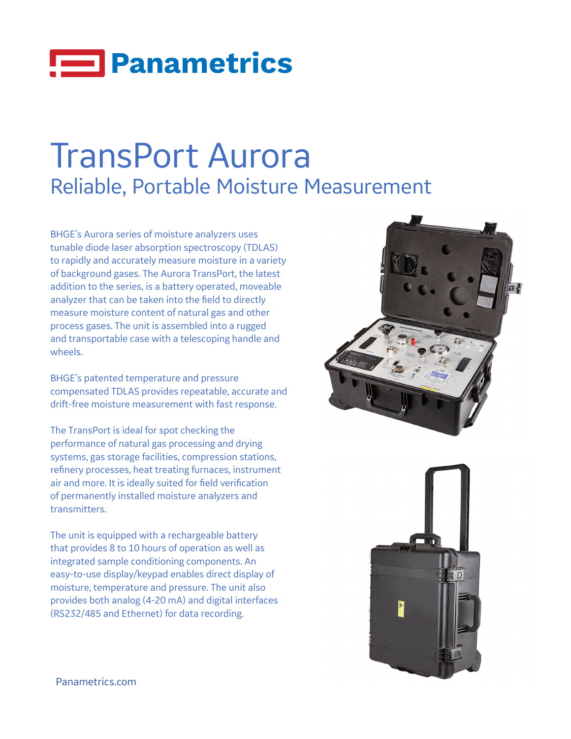## **ED** Panametrics

## TransPort Aurora Reliable, Portable Moisture Measurement

BHGE's Aurora series of moisture analyzers uses tunable diode laser absorption spectroscopy (TDLAS) to rapidly and accurately measure moisture in a variety of background gases. The Aurora TransPort, the latest addition to the series, is a battery operated, moveable analyzer that can be taken into the field to directly measure moisture content of natural gas and other process gases. The unit is assembled into a rugged and transportable case with a telescoping handle and wheels.

BHGE's patented temperature and pressure compensated TDLAS provides repeatable, accurate and drift-free moisture measurement with fast response.

The TransPort is ideal for spot checking the performance of natural gas processing and drying systems, gas storage facilities, compression stations, refinery processes, heat treating furnaces, instrument air and more. It is ideally suited for field verification of permanently installed moisture analyzers and transmitters.

The unit is equipped with a rechargeable battery that provides 8 to 10 hours of operation as well as integrated sample conditioning components. An easy-to-use display/keypad enables direct display of moisture, temperature and pressure. The unit also provides both analog (4-20 mA) and digital interfaces (RS232/485 and Ethernet) for data recording.





Panametrics[.com](http://panametrics.com)